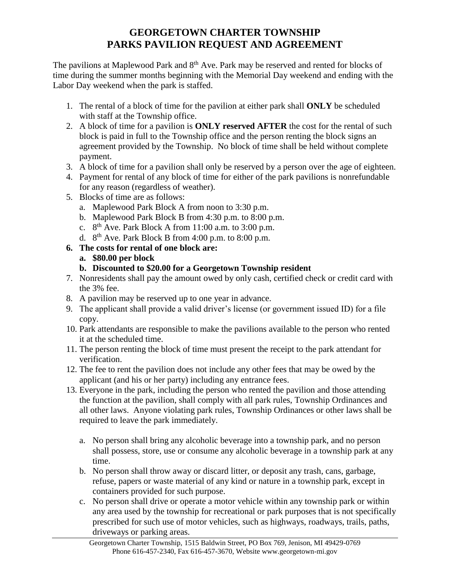## **GEORGETOWN CHARTER TOWNSHIP PARKS PAVILION REQUEST AND AGREEMENT**

The pavilions at Maplewood Park and  $8<sup>th</sup>$  Ave. Park may be reserved and rented for blocks of time during the summer months beginning with the Memorial Day weekend and ending with the Labor Day weekend when the park is staffed.

- 1. The rental of a block of time for the pavilion at either park shall **ONLY** be scheduled with staff at the Township office.
- 2. A block of time for a pavilion is **ONLY reserved AFTER** the cost for the rental of such block is paid in full to the Township office and the person renting the block signs an agreement provided by the Township. No block of time shall be held without complete payment.
- 3. A block of time for a pavilion shall only be reserved by a person over the age of eighteen.
- 4. Payment for rental of any block of time for either of the park pavilions is nonrefundable for any reason (regardless of weather).
- 5. Blocks of time are as follows:
	- a. Maplewood Park Block A from noon to 3:30 p.m.
	- b. Maplewood Park Block B from 4:30 p.m. to 8:00 p.m.
	- c.  $8<sup>th</sup>$  Ave. Park Block A from 11:00 a.m. to 3:00 p.m.
	- d.  $8<sup>th</sup>$  Ave. Park Block B from 4:00 p.m. to 8:00 p.m.
- **6. The costs for rental of one block are:**
	- **a. \$80.00 per block**
	- **b. Discounted to \$20.00 for a Georgetown Township resident**
- 7. Nonresidents shall pay the amount owed by only cash, certified check or credit card with the 3% fee.
- 8. A pavilion may be reserved up to one year in advance.
- 9. The applicant shall provide a valid driver's license (or government issued ID) for a file copy.
- 10. Park attendants are responsible to make the pavilions available to the person who rented it at the scheduled time.
- 11. The person renting the block of time must present the receipt to the park attendant for verification.
- 12. The fee to rent the pavilion does not include any other fees that may be owed by the applicant (and his or her party) including any entrance fees.
- 13. Everyone in the park, including the person who rented the pavilion and those attending the function at the pavilion, shall comply with all park rules, Township Ordinances and all other laws. Anyone violating park rules, Township Ordinances or other laws shall be required to leave the park immediately.
	- a. No person shall bring any alcoholic beverage into a township park, and no person shall possess, store, use or consume any alcoholic beverage in a township park at any time.
	- b. No person shall throw away or discard litter, or deposit any trash, cans, garbage, refuse, papers or waste material of any kind or nature in a township park, except in containers provided for such purpose.
	- c. No person shall drive or operate a motor vehicle within any township park or within any area used by the township for recreational or park purposes that is not specifically prescribed for such use of motor vehicles, such as highways, roadways, trails, paths, driveways or parking areas.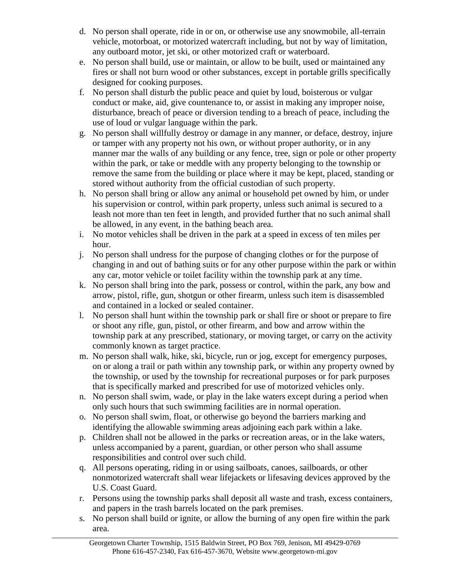- d. No person shall operate, ride in or on, or otherwise use any snowmobile, all-terrain vehicle, motorboat, or motorized watercraft including, but not by way of limitation, any outboard motor, jet ski, or other motorized craft or waterboard.
- e. No person shall build, use or maintain, or allow to be built, used or maintained any fires or shall not burn wood or other substances, except in portable grills specifically designed for cooking purposes.
- f. No person shall disturb the public peace and quiet by loud, boisterous or vulgar conduct or make, aid, give countenance to, or assist in making any improper noise, disturbance, breach of peace or diversion tending to a breach of peace, including the use of loud or vulgar language within the park.
- g. No person shall willfully destroy or damage in any manner, or deface, destroy, injure or tamper with any property not his own, or without proper authority, or in any manner mar the walls of any building or any fence, tree, sign or pole or other property within the park, or take or meddle with any property belonging to the township or remove the same from the building or place where it may be kept, placed, standing or stored without authority from the official custodian of such property.
- h. No person shall bring or allow any animal or household pet owned by him, or under his supervision or control, within park property, unless such animal is secured to a leash not more than ten feet in length, and provided further that no such animal shall be allowed, in any event, in the bathing beach area.
- i. No motor vehicles shall be driven in the park at a speed in excess of ten miles per hour.
- j. No person shall undress for the purpose of changing clothes or for the purpose of changing in and out of bathing suits or for any other purpose within the park or within any car, motor vehicle or toilet facility within the township park at any time.
- k. No person shall bring into the park, possess or control, within the park, any bow and arrow, pistol, rifle, gun, shotgun or other firearm, unless such item is disassembled and contained in a locked or sealed container.
- l. No person shall hunt within the township park or shall fire or shoot or prepare to fire or shoot any rifle, gun, pistol, or other firearm, and bow and arrow within the township park at any prescribed, stationary, or moving target, or carry on the activity commonly known as target practice.
- m. No person shall walk, hike, ski, bicycle, run or jog, except for emergency purposes, on or along a trail or path within any township park, or within any property owned by the township, or used by the township for recreational purposes or for park purposes that is specifically marked and prescribed for use of motorized vehicles only.
- n. No person shall swim, wade, or play in the lake waters except during a period when only such hours that such swimming facilities are in normal operation.
- o. No person shall swim, float, or otherwise go beyond the barriers marking and identifying the allowable swimming areas adjoining each park within a lake.
- p. Children shall not be allowed in the parks or recreation areas, or in the lake waters, unless accompanied by a parent, guardian, or other person who shall assume responsibilities and control over such child.
- q. All persons operating, riding in or using sailboats, canoes, sailboards, or other nonmotorized watercraft shall wear lifejackets or lifesaving devices approved by the U.S. Coast Guard.
- r. Persons using the township parks shall deposit all waste and trash, excess containers, and papers in the trash barrels located on the park premises.
- s. No person shall build or ignite, or allow the burning of any open fire within the park area.